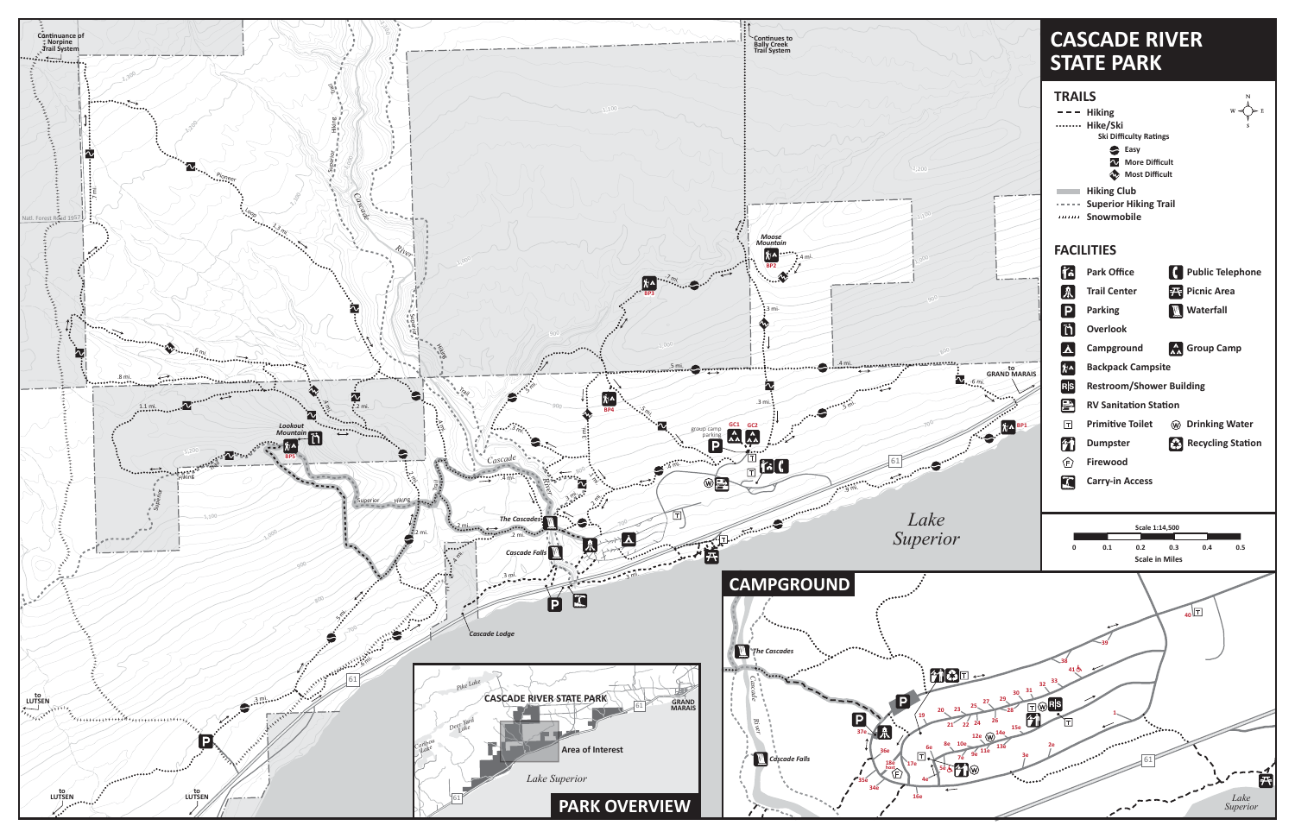